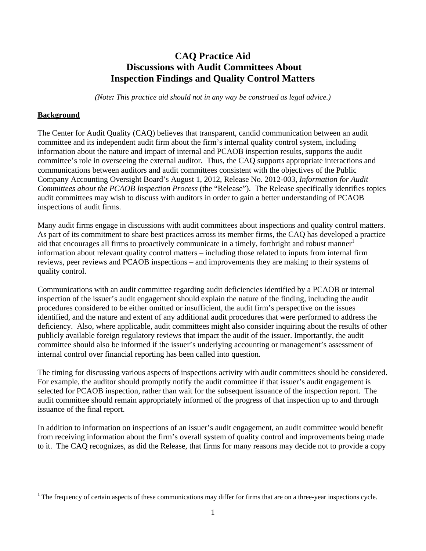## **CAQ Practice Aid Discussions with Audit Committees About Inspection Findings and Quality Control Matters**

*(Note: This practice aid should not in any way be construed as legal advice.)*

## **Background**

The Center for Audit Quality (CAQ) believes that transparent, candid communication between an audit committee and its independent audit firm about the firm's internal quality control system, including information about the nature and impact of internal and PCAOB inspection results, supports the audit committee's role in overseeing the external auditor. Thus, the CAQ supports appropriate interactions and communications between auditors and audit committees consistent with the objectives of the Public Company Accounting Oversight Board's August 1, 2012, Release No. 2012-003, *Information for Audit Committees about the PCAOB Inspection Process* (the "Release"). The Release specifically identifies topics audit committees may wish to discuss with auditors in order to gain a better understanding of PCAOB inspections of audit firms.

Many audit firms engage in discussions with audit committees about inspections and quality control matters. As part of its commitment to share best practices across its member firms, the CAQ has developed a practice aid that encourages all firms to proactively communicate in a timely, forthright and robust manner<sup>1</sup> information about relevant quality control matters – including those related to inputs from internal firm reviews, peer reviews and PCAOB inspections – and improvements they are making to their systems of quality control.

Communications with an audit committee regarding audit deficiencies identified by a PCAOB or internal inspection of the issuer's audit engagement should explain the nature of the finding, including the audit procedures considered to be either omitted or insufficient, the audit firm's perspective on the issues identified, and the nature and extent of any additional audit procedures that were performed to address the deficiency. Also, where applicable, audit committees might also consider inquiring about the results of other publicly available foreign regulatory reviews that impact the audit of the issuer. Importantly, the audit committee should also be informed if the issuer's underlying accounting or management's assessment of internal control over financial reporting has been called into question.

The timing for discussing various aspects of inspections activity with audit committees should be considered. For example, the auditor should promptly notify the audit committee if that issuer's audit engagement is selected for PCAOB inspection, rather than wait for the subsequent issuance of the inspection report. The audit committee should remain appropriately informed of the progress of that inspection up to and through issuance of the final report.

In addition to information on inspections of an issuer's audit engagement, an audit committee would benefit from receiving information about the firm's overall system of quality control and improvements being made to it. The CAQ recognizes, as did the Release, that firms for many reasons may decide not to provide a copy

<sup>1</sup> The frequency of certain aspects of these communications may differ for firms that are on a three-year inspections cycle.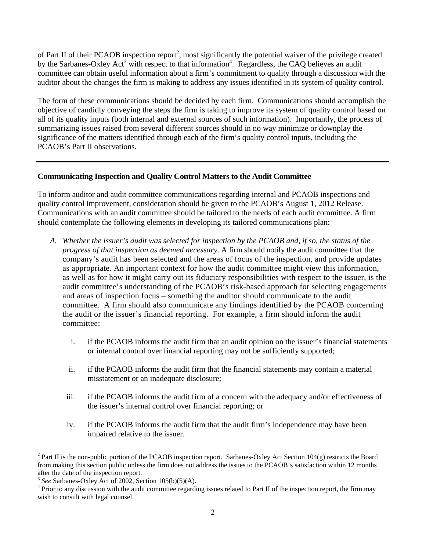of Part II of their PCAOB inspection report<sup>2</sup>, most significantly the potential waiver of the privilege created by the Sarbanes-Oxley Act<sup>3</sup> with respect to that information<sup>4</sup>. Regardless, the CAQ believes an audit committee can obtain useful information about a firm's commitment to quality through a discussion with the auditor about the changes the firm is making to address any issues identified in its system of quality control.

The form of these communications should be decided by each firm. Communications should accomplish the objective of candidly conveying the steps the firm is taking to improve its system of quality control based on all of its quality inputs (both internal and external sources of such information). Importantly, the process of summarizing issues raised from several different sources should in no way minimize or downplay the significance of the matters identified through each of the firm's quality control inputs, including the PCAOB's Part II observations.

## **Communicating Inspection and Quality Control Matters to the Audit Committee**

To inform auditor and audit committee communications regarding internal and PCAOB inspections and quality control improvement, consideration should be given to the PCAOB's August 1, 2012 Release. Communications with an audit committee should be tailored to the needs of each audit committee. A firm should contemplate the following elements in developing its tailored communications plan:

- *A. Whether the issuer's audit was selected for inspection by the PCAOB and, if so, the status of the progress of that inspection as deemed necessary*. A firm should notify the audit committee that the company's audit has been selected and the areas of focus of the inspection, and provide updates as appropriate. An important context for how the audit committee might view this information, as well as for how it might carry out its fiduciary responsibilities with respect to the issuer, is the audit committee's understanding of the PCAOB's risk-based approach for selecting engagements and areas of inspection focus – something the auditor should communicate to the audit committee. A firm should also communicate any findings identified by the PCAOB concerning the audit or the issuer's financial reporting. For example, a firm should inform the audit committee:
	- i. if the PCAOB informs the audit firm that an audit opinion on the issuer's financial statements or internal control over financial reporting may not be sufficiently supported;
	- ii. if the PCAOB informs the audit firm that the financial statements may contain a material misstatement or an inadequate disclosure;
	- iii. if the PCAOB informs the audit firm of a concern with the adequacy and/or effectiveness of the issuer's internal control over financial reporting; or
	- iv. if the PCAOB informs the audit firm that the audit firm's independence may have been impaired relative to the issuer.

 <sup>2</sup> Part II is the non-public portion of the PCAOB inspection report. Sarbanes-Oxley Act Section 104(g) restricts the Board from making this section public unless the firm does not address the issues to the PCAOB's satisfaction within 12 months after the date of the inspection report.

 $3$  *See* Sarbanes-Oxley Act of 2002, Section 105(b)(5)(A).

 $4$  Prior to any discussion with the audit committee regarding issues related to Part II of the inspection report, the firm may wish to consult with legal counsel.